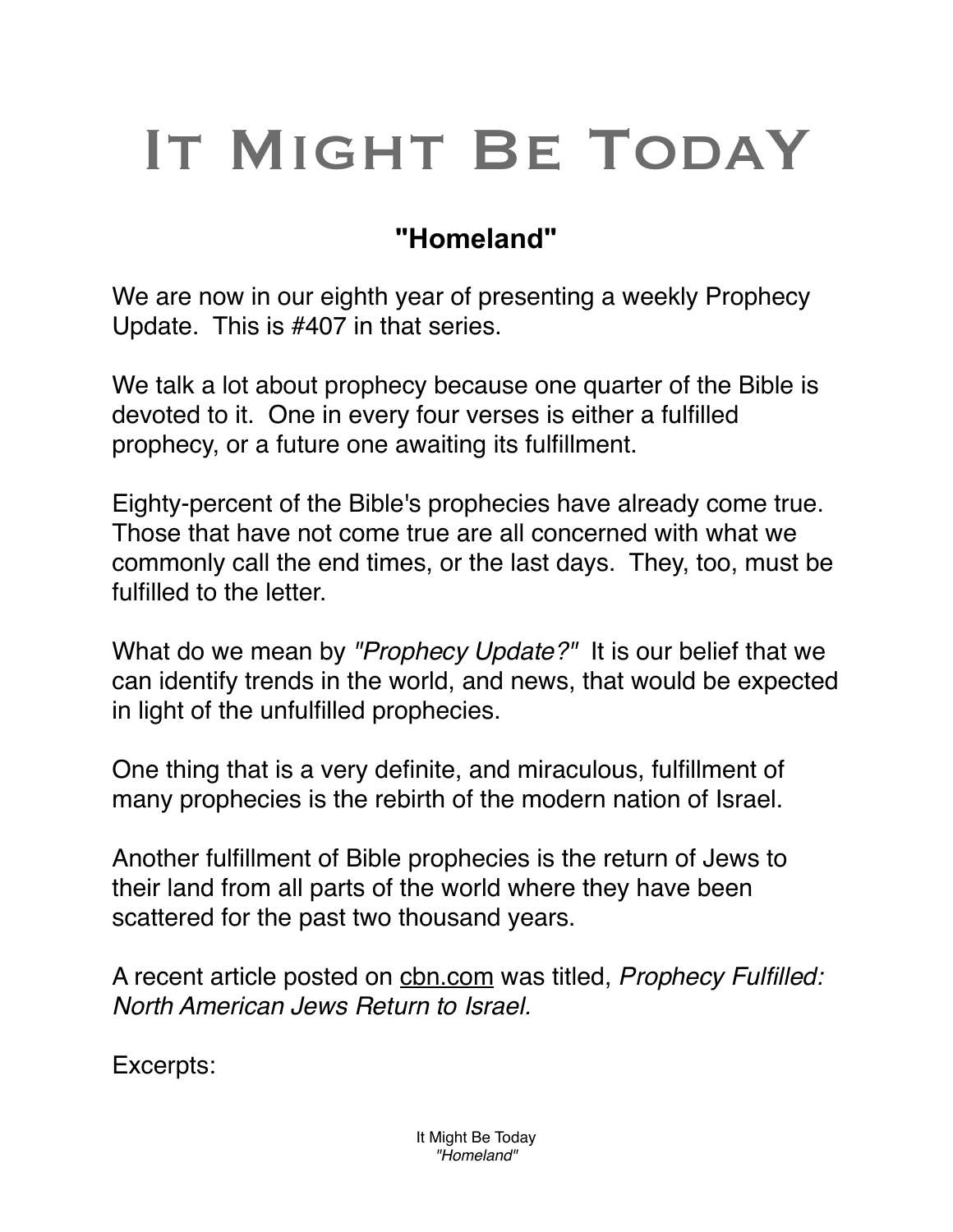## IT MIGHT BE TODAY

## **"Homeland"**

We are now in our eighth year of presenting a weekly Prophecy Update. This is #407 in that series.

We talk a lot about prophecy because one quarter of the Bible is devoted to it. One in every four verses is either a fulfilled prophecy, or a future one awaiting its fulfillment.

Eighty-percent of the Bible's prophecies have already come true. Those that have not come true are all concerned with what we commonly call the end times, or the last days. They, too, must be fulfilled to the letter.

What do we mean by *"Prophecy Update?"* It is our belief that we can identify trends in the world, and news, that would be expected in light of the unfulfilled prophecies.

One thing that is a very definite, and miraculous, fulfillment of many prophecies is the rebirth of the modern nation of Israel.

Another fulfillment of Bible prophecies is the return of Jews to their land from all parts of the world where they have been scattered for the past two thousand years.

A recent article posted on [cbn.com](http://cbn.com) was titled, *Prophecy Fulfilled: North American Jews Return to Israel.*

Excerpts: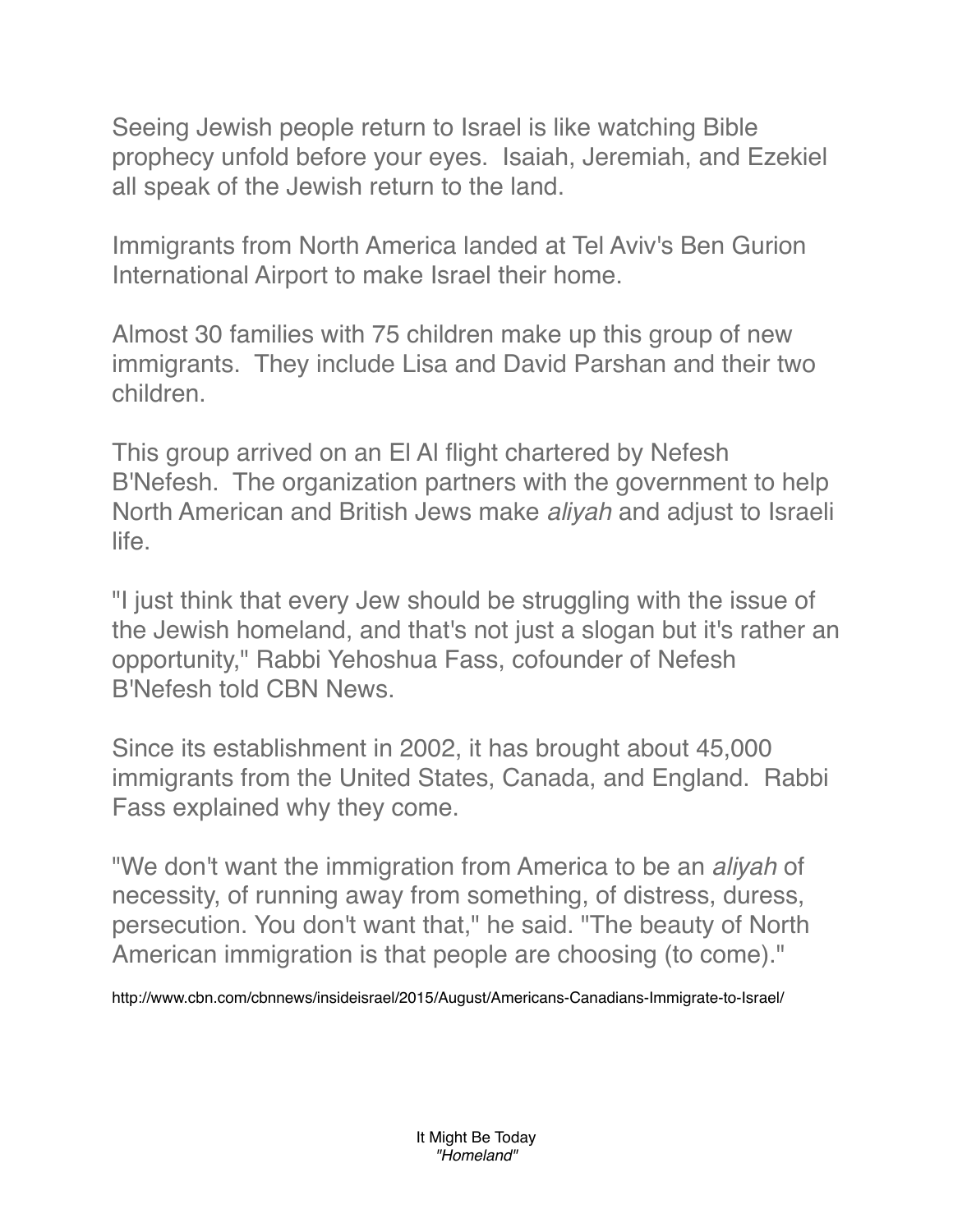Seeing Jewish people return to Israel is like watching Bible prophecy unfold before your eyes. Isaiah, Jeremiah, and Ezekiel all speak of the Jewish return to the land.

Immigrants from North America landed at Tel Aviv's Ben Gurion International Airport to make Israel their home.

Almost 30 families with 75 children make up this group of new immigrants. They include Lisa and David Parshan and their two children.

This group arrived on an El Al flight chartered by Nefesh B'Nefesh. The organization partners with the government to help North American and British Jews make *aliyah* and adjust to Israeli life.

"I just think that every Jew should be struggling with the issue of the Jewish homeland, and that's not just a slogan but it's rather an opportunity," Rabbi Yehoshua Fass, cofounder of Nefesh B'Nefesh told CBN News.

Since its establishment in 2002, it has brought about 45,000 immigrants from the United States, Canada, and England. Rabbi Fass explained why they come.

"We don't want the immigration from America to be an *aliyah* of necessity, of running away from something, of distress, duress, persecution. You don't want that," he said. "The beauty of North American immigration is that people are choosing (to come)."

http://www.cbn.com/cbnnews/insideisrael/2015/August/Americans-Canadians-Immigrate-to-Israel/